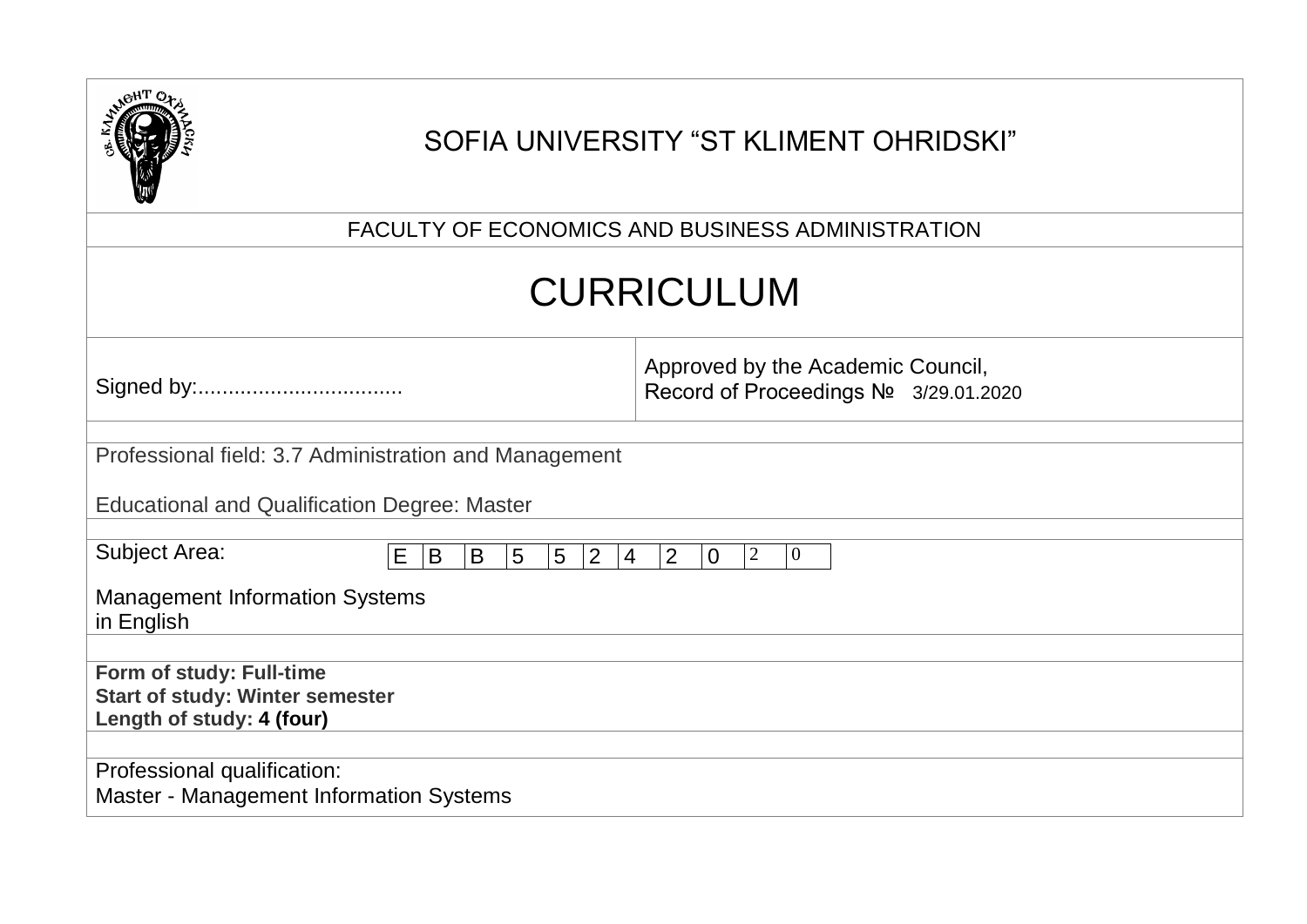|                                                                                                 | SOFIA UNIVERSITY "ST KLIMENT OHRIDSKI"                                                                |
|-------------------------------------------------------------------------------------------------|-------------------------------------------------------------------------------------------------------|
|                                                                                                 | FACULTY OF ECONOMICS AND BUSINESS ADMINISTRATION                                                      |
|                                                                                                 | <b>CURRICULUM</b>                                                                                     |
|                                                                                                 | Approved by the Academic Council,<br>Record of Proceedings Nº 3/29.01.2020                            |
| Professional field: 3.7 Administration and Management                                           |                                                                                                       |
| <b>Educational and Qualification Degree: Master</b>                                             |                                                                                                       |
| <b>Subject Area:</b><br>$E \mid B$<br>$\overline{5}$<br>B<br>$5\overline{)}$                    | $ 2\rangle$<br>$\overline{2}$<br>$\overline{2}$<br>$\overline{0}$<br>$\overline{0}$<br>$\overline{4}$ |
| <b>Management Information Systems</b><br>in English                                             |                                                                                                       |
| Form of study: Full-time<br><b>Start of study: Winter semester</b><br>Length of study: 4 (four) |                                                                                                       |
| Professional qualification:<br>Master - Management Information Systems                          |                                                                                                       |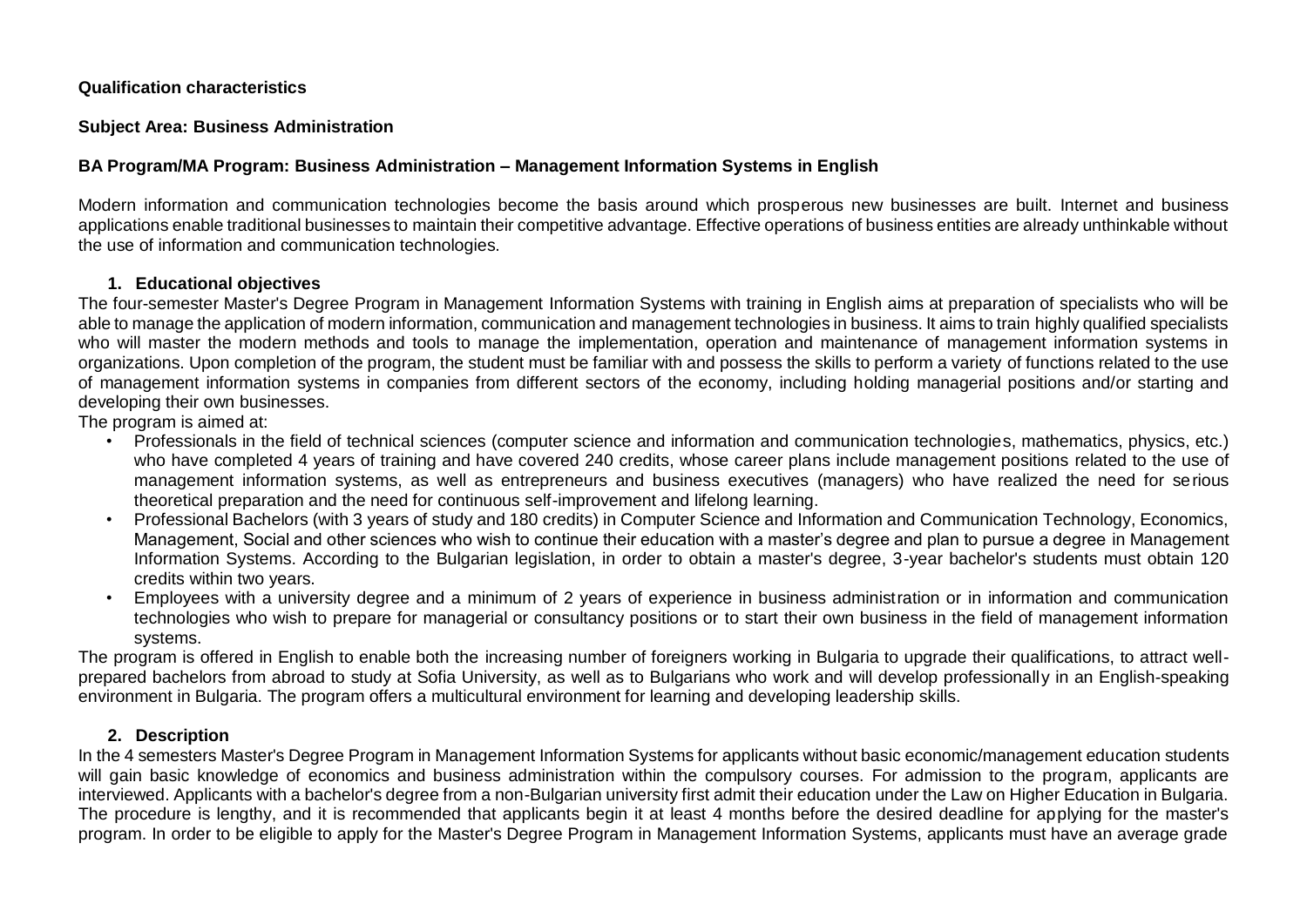#### **Qualification characteristics**

#### **Subject Area: Business Administration**

### **BA Program/MA Program: Business Administration – Management Information Systems in English**

Modern information and communication technologies become the basis around which prosperous new businesses are built. Internet and business applications enable traditional businesses to maintain their competitive advantage. Effective operations of business entities are already unthinkable without the use of information and communication technologies.

### **1. Educational objectives**

The four-semester Master's Degree Program in Management Information Systems with training in English aims at preparation of specialists who will be able to manage the application of modern information, communication and management technologies in business. It aims to train highly qualified specialists who will master the modern methods and tools to manage the implementation, operation and maintenance of management information systems in organizations. Upon completion of the program, the student must be familiar with and possess the skills to perform a variety of functions related to the use of management information systems in companies from different sectors of the economy, including holding managerial positions and/or starting and developing their own businesses.

The program is aimed at:

- Professionals in the field of technical sciences (computer science and information and communication technologies, mathematics, physics, etc.) who have completed 4 years of training and have covered 240 credits, whose career plans include management positions related to the use of management information systems, as well as entrepreneurs and business executives (managers) who have realized the need for serious theoretical preparation and the need for continuous self-improvement and lifelong learning.
- Professional Bachelors (with 3 years of study and 180 credits) in Computer Science and Information and Communication Technology, Economics, Management, Social and other sciences who wish to continue their education with a master's degree and plan to pursue a degree in Management Information Systems. According to the Bulgarian legislation, in order to obtain a master's degree, 3-year bachelor's students must obtain 120 credits within two years.
- Employees with a university degree and a minimum of 2 years of experience in business administration or in information and communication technologies who wish to prepare for managerial or consultancy positions or to start their own business in the field of management information systems.

The program is offered in English to enable both the increasing number of foreigners working in Bulgaria to upgrade their qualifications, to attract wellprepared bachelors from abroad to study at Sofia University, as well as to Bulgarians who work and will develop professionally in an English-speaking environment in Bulgaria. The program offers a multicultural environment for learning and developing leadership skills.

## **2. Description**

In the 4 semesters Master's Degree Program in Management Information Systems for applicants without basic economic/management education students will gain basic knowledge of economics and business administration within the compulsory courses. For admission to the program, applicants are interviewed. Applicants with a bachelor's degree from a non-Bulgarian university first admit their education under the Law on Higher Education in Bulgaria. The procedure is lengthy, and it is recommended that applicants begin it at least 4 months before the desired deadline for applying for the master's program. In order to be eligible to apply for the Master's Degree Program in Management Information Systems, applicants must have an average grade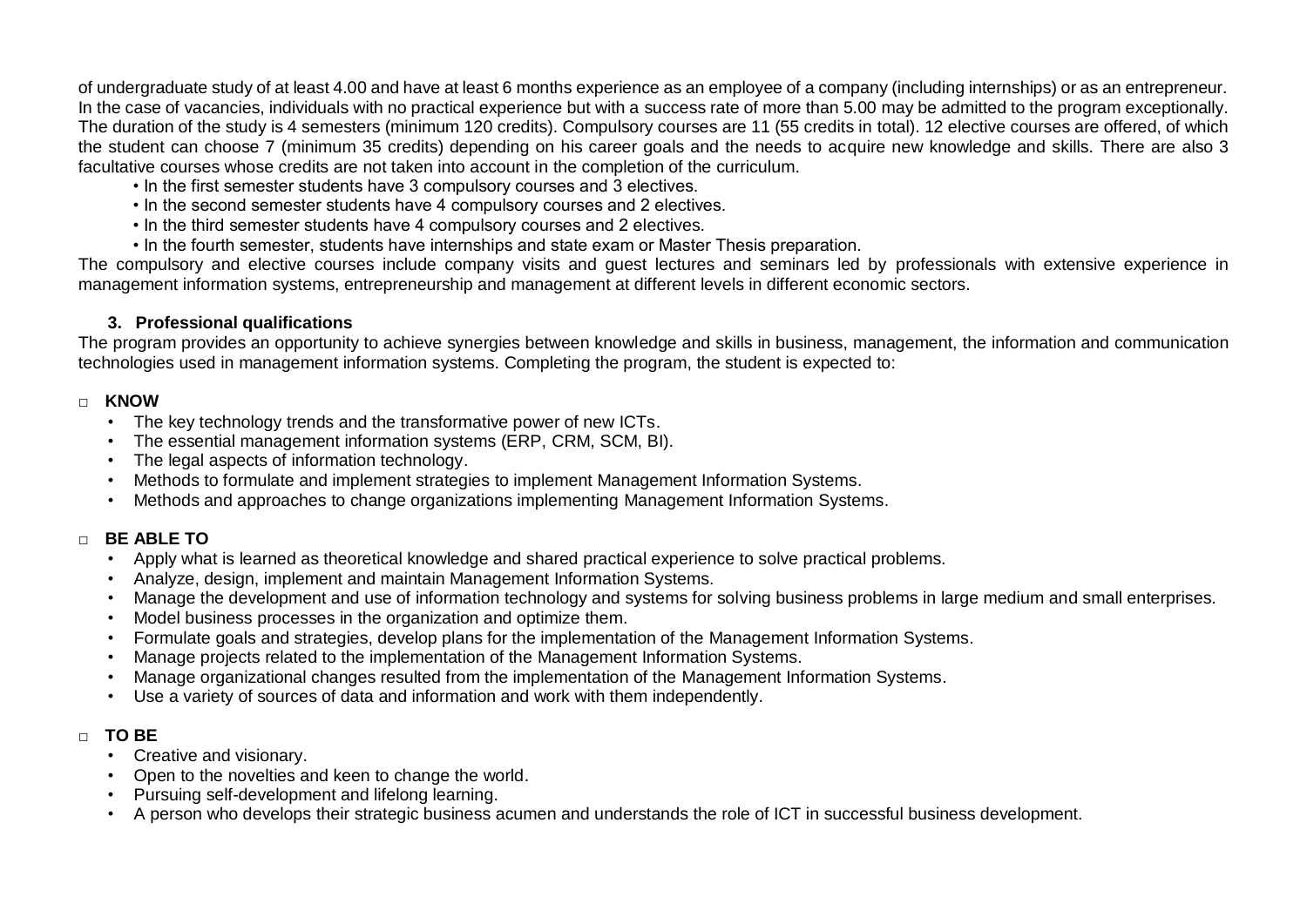of undergraduate study of at least 4.00 and have at least 6 months experience as an employee of a company (including internships) or as an entrepreneur. In the case of vacancies, individuals with no practical experience but with a success rate of more than 5.00 may be admitted to the program exceptionally. The duration of the study is 4 semesters (minimum 120 credits). Compulsory courses are 11 (55 credits in total). 12 elective courses are offered, of which the student can choose 7 (minimum 35 credits) depending on his career goals and the needs to acquire new knowledge and skills. There are also 3 facultative courses whose credits are not taken into account in the completion of the curriculum.

- In the first semester students have 3 compulsory courses and 3 electives.
- In the second semester students have 4 compulsory courses and 2 electives.
- In the third semester students have 4 compulsory courses and 2 electives.
- In the fourth semester, students have internships and state exam or Master Thesis preparation.

The compulsory and elective courses include company visits and guest lectures and seminars led by professionals with extensive experience in management information systems, entrepreneurship and management at different levels in different economic sectors.

## **3. Professional qualifications**

The program provides an opportunity to achieve synergies between knowledge and skills in business, management, the information and communication technologies used in management information systems. Completing the program, the student is expected to:

## **□ KNOW**

- The key technology trends and the transformative power of new ICTs.
- The essential management information systems (ERP, CRM, SCM, BI).
- The legal aspects of information technology.
- Methods to formulate and implement strategies to implement Management Information Systems.
- Methods and approaches to change organizations implementing Management Information Systems.

# **□ BE ABLE TO**

- Apply what is learned as theoretical knowledge and shared practical experience to solve practical problems.
- Analyze, design, implement and maintain Management Information Systems.
- Manage the development and use of information technology and systems for solving business problems in large medium and small enterprises.
- Model business processes in the organization and optimize them.
- Formulate goals and strategies, develop plans for the implementation of the Management Information Systems.
- Manage projects related to the implementation of the Management Information Systems.
- Manage organizational changes resulted from the implementation of the Management Information Systems.
- Use a variety of sources of data and information and work with them independently.

# **□ TO BE**

- Creative and visionary.
- Open to the novelties and keen to change the world.
- Pursuing self-development and lifelong learning.
- A person who develops their strategic business acumen and understands the role of ICT in successful business development.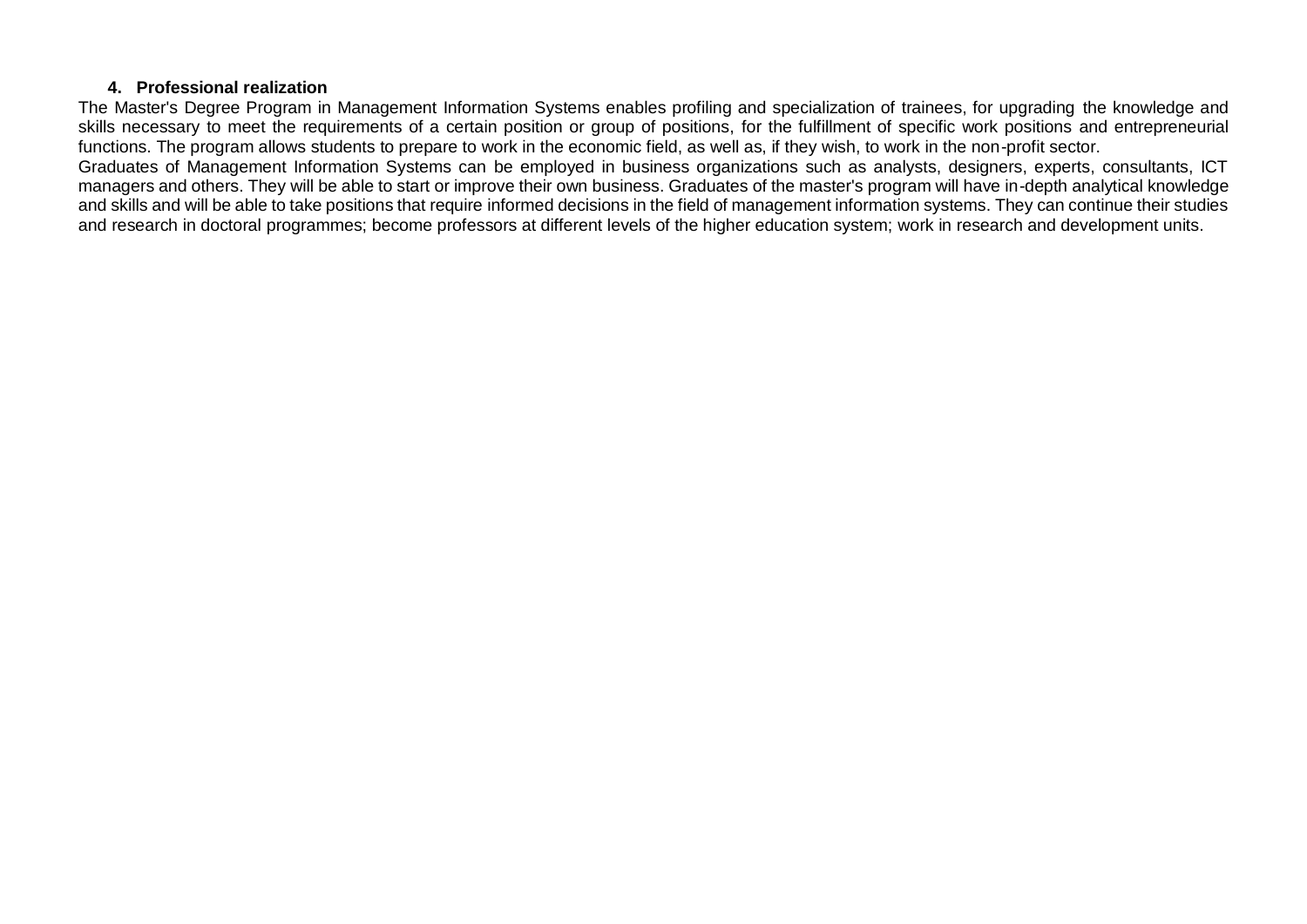#### **4. Professional realization**

The Master's Degree Program in Management Information Systems enables profiling and specialization of trainees, for upgrading the knowledge and skills necessary to meet the requirements of a certain position or group of positions, for the fulfillment of specific work positions and entrepreneurial functions. The program allows students to prepare to work in the economic field, as well as, if they wish, to work in the non-profit sector.

Graduates of Management Information Systems can be employed in business organizations such as analysts, designers, experts, consultants, ICT managers and others. They will be able to start or improve their own business. Graduates of the master's program will have in-depth analytical knowledge and skills and will be able to take positions that require informed decisions in the field of management information systems. They can continue their studies and research in doctoral programmes; become professors at different levels of the higher education system; work in research and development units.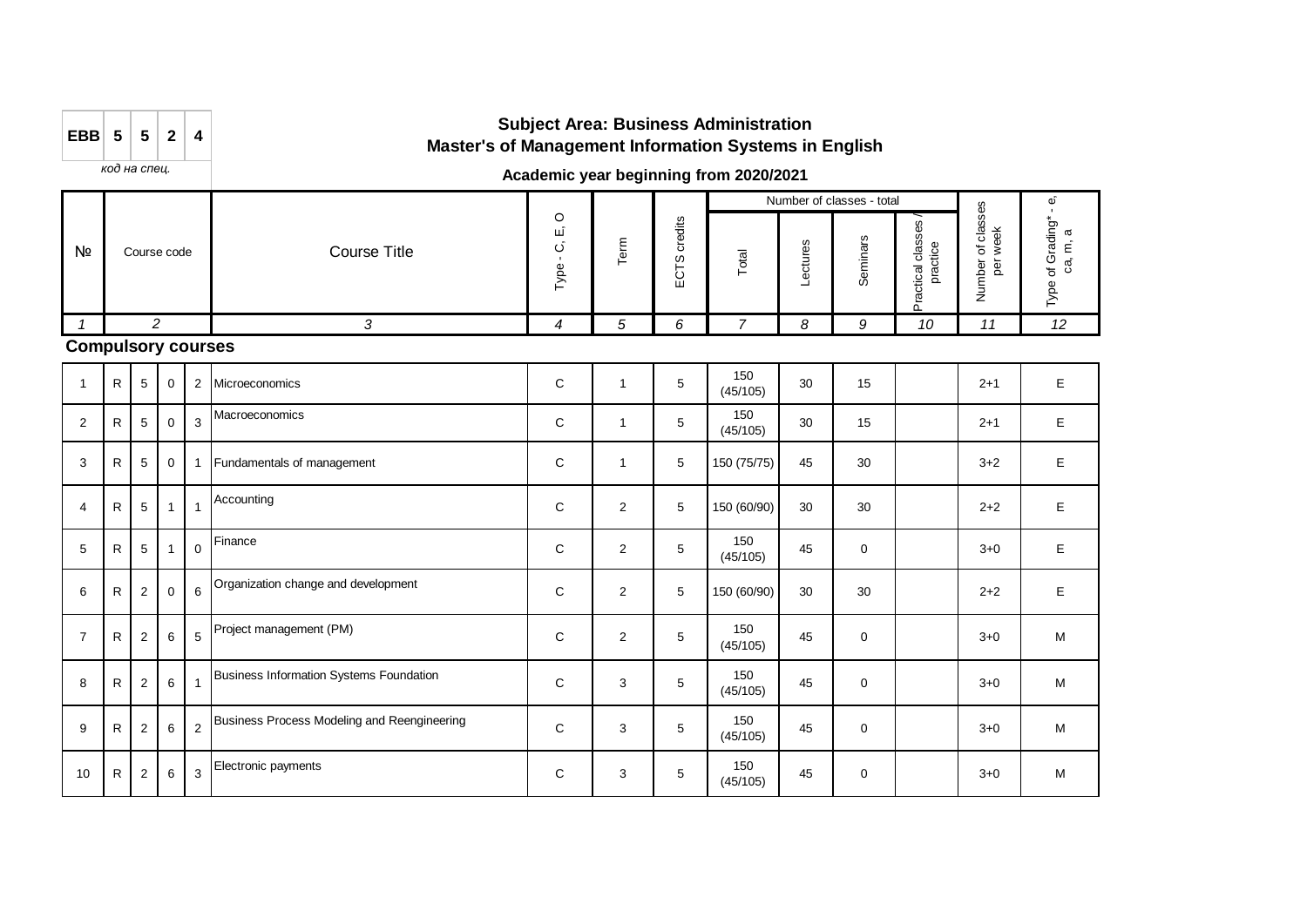| EBB $5 \mid 5 \mid 2 \mid$ |  | 4 |
|----------------------------|--|---|
|                            |  |   |

# **Subject Area: Business Administration Master's of Management Information Systems in English**

*код на спец.*

### **Academic year beginning from 2020/2021**

|                           |              |                |             |                |                            |   |      |                     |                 |          | Number of classes - total |                                  |                                          | ΦÎ                                                    |
|---------------------------|--------------|----------------|-------------|----------------|----------------------------|---|------|---------------------|-----------------|----------|---------------------------|----------------------------------|------------------------------------------|-------------------------------------------------------|
| Nº                        |              | Course code    |             |                | <b>Course Title</b>        |   | Term | credits<br>ဥ<br>ပ္မ | Total           | Lectures | Seminars                  | classes<br>practice<br>Practical | of classes<br>week<br>đ<br>Number<br>per | Grading*<br>$\varpi$<br>$\epsilon$<br>ვ.<br>ъ<br>Type |
|                           |              |                | 2           |                | 3                          | 4 | 5    | 6                   | 7               | 8        | 9                         | 10                               | 11                                       | 12                                                    |
| <b>Compulsory courses</b> |              |                |             |                |                            |   |      |                     |                 |          |                           |                                  |                                          |                                                       |
|                           | ${\sf R}$    | 5              | $\mathbf 0$ | 2              | Microeconomics             | C |      | 5                   | 150<br>(45/105) | 30       | 15                        |                                  | $2 + 1$                                  | Е                                                     |
| $\overline{2}$            | $\mathsf{R}$ | $\sqrt{5}$     | $\mathbf 0$ | 3              | Macroeconomics             | C |      | 5                   | 150<br>(45/105) | 30       | 15                        |                                  | $2 + 1$                                  | Е                                                     |
| 3                         | R            | 5              | $\mathbf 0$ |                | Fundamentals of management | C |      | 5                   | 150 (75/75)     | 45       | 30                        |                                  | $3 + 2$                                  | F                                                     |
| 4                         | $\mathsf{R}$ | 5 <sup>5</sup> | 1           | $\overline{1}$ | Accounting                 | С | 2    | 5                   | 150 (60/90)     | 30       | 30                        |                                  | $2 + 2$                                  |                                                       |

|                |              |                |                |                |                                             |   |                |   | (45/105)        |    |             |         |   |
|----------------|--------------|----------------|----------------|----------------|---------------------------------------------|---|----------------|---|-----------------|----|-------------|---------|---|
| 2              | R.           | 5              | $\mathbf 0$    | 3              | Macroeconomics                              | C |                | 5 | 150<br>(45/105) | 30 | 15          | $2 + 1$ | E |
| 3              | R            | 5              | 0              | $\mathbf{1}$   | Fundamentals of management                  | C |                | 5 | 150 (75/75)     | 45 | 30          | $3+2$   | E |
| $\overline{4}$ | $\mathsf{R}$ | 5              | 1 <sup>1</sup> | $\overline{1}$ | Accounting                                  | C | $\overline{2}$ | 5 | 150 (60/90)     | 30 | 30          | $2 + 2$ | E |
| 5              | R            | 5              | $\mathbf{1}$   | $\mathbf 0$    | Finance                                     | C | $\overline{2}$ | 5 | 150<br>(45/105) | 45 | $\mathbf 0$ | $3 + 0$ | E |
| 6              | R            | $\overline{2}$ | $\mathbf{0}$   |                | 6 Organization change and development       | C | 2              | 5 | 150 (60/90)     | 30 | 30          | $2 + 2$ | E |
| $\overline{7}$ | R.           | $\overline{2}$ | 6              |                | 5 Project management (PM)                   | C | $\overline{2}$ | 5 | 150<br>(45/105) | 45 | $\mathbf 0$ | $3 + 0$ | M |
| 8              | R            | 2              | 6              | $\mathbf{1}$   | Business Information Systems Foundation     | C | 3              | 5 | 150<br>(45/105) | 45 | $\mathbf 0$ | $3+0$   | M |
| 9              | R            | $\overline{2}$ | 6              | $\overline{2}$ | Business Process Modeling and Reengineering | C | 3              | 5 | 150<br>(45/105) | 45 | 0           | $3 + 0$ | M |
| 10             | R            | $\overline{2}$ | 6              |                | 3 Electronic payments                       | C | 3              | 5 | 150<br>(45/105) | 45 | $\mathbf 0$ | $3 + 0$ | M |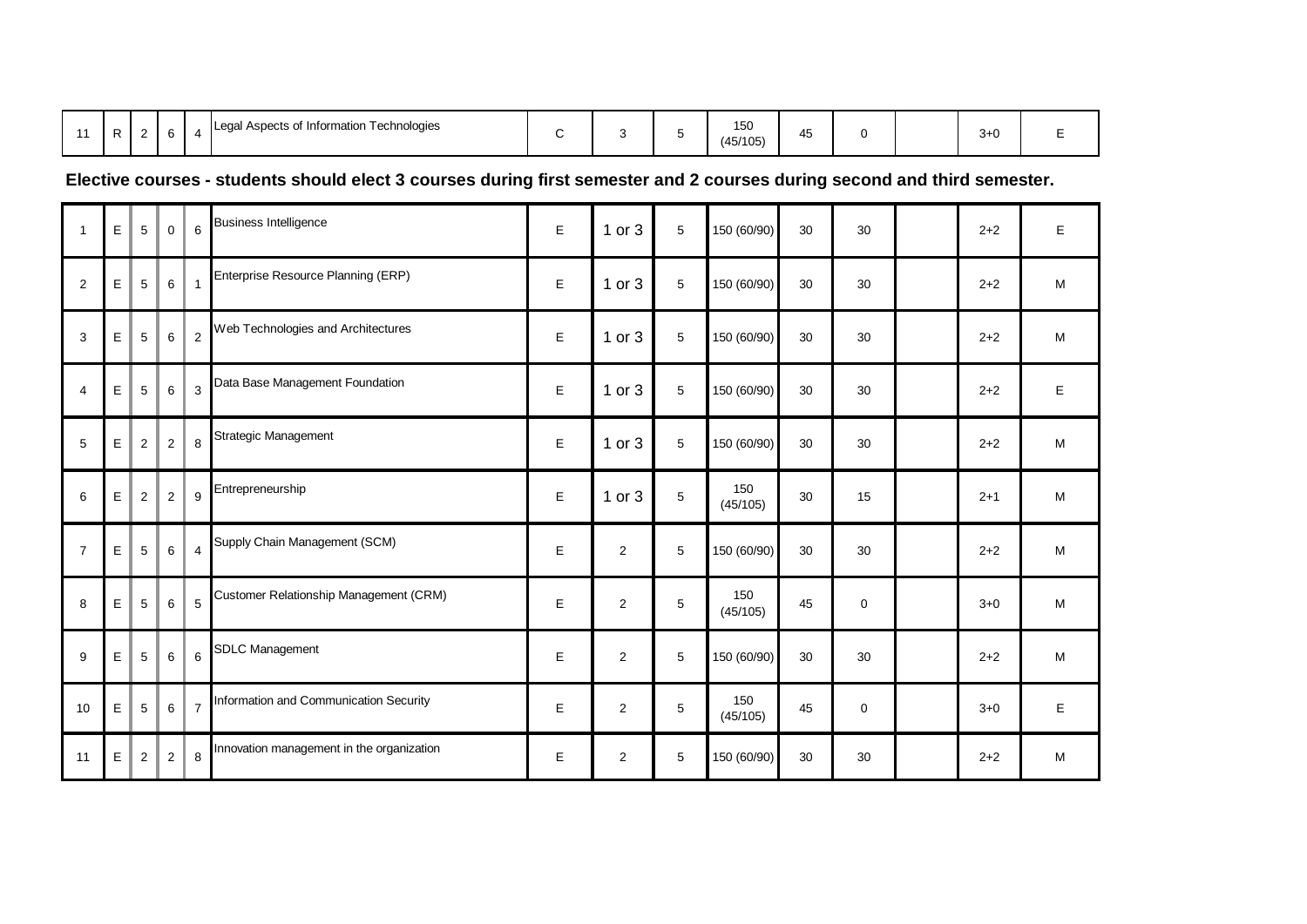|  |  | _ |  |  | Technologies<br>⊩Legal Aspects of Information ⊺ |  |  | $\cdot$ | 150<br>ישו<br>(45/105) | $\rightarrow$<br>45 |  |  | $3+0$ |  |
|--|--|---|--|--|-------------------------------------------------|--|--|---------|------------------------|---------------------|--|--|-------|--|
|--|--|---|--|--|-------------------------------------------------|--|--|---------|------------------------|---------------------|--|--|-------|--|

# **Elective courses - students should elect 3 courses during first semester and 2 courses during second and third semester.**

| $\mathbf{1}$   | $\mathsf E$ | $\overline{5}$ | $\mathbf 0$    | 6              | <b>Business Intelligence</b>              | E | $1$ or $3$              | 5 | 150 (60/90)     | 30 | 30          | $2 + 2$ | E |
|----------------|-------------|----------------|----------------|----------------|-------------------------------------------|---|-------------------------|---|-----------------|----|-------------|---------|---|
| $\overline{2}$ | $\mathsf E$ | $\overline{5}$ | 6              | $\mathbf{1}$   | Enterprise Resource Planning (ERP)        | E | $1$ or $3$              | 5 | 150 (60/90)     | 30 | 30          | $2 + 2$ | M |
| 3              | $\mathsf E$ | $\sqrt{5}$     | $\,6$          | $\overline{2}$ | Web Technologies and Architectures        | E | 1 or 3                  | 5 | 150 (60/90)     | 30 | 30          | $2 + 2$ | M |
| 4              | $\mathsf E$ | $\sqrt{5}$     | $\,6$          | 3              | Data Base Management Foundation           | E | $1$ or $3$              | 5 | 150 (60/90)     | 30 | 30          | $2 + 2$ | E |
| 5              | E           | $\overline{2}$ | $\overline{2}$ | 8              | Strategic Management                      | E | 1 or 3                  | 5 | 150 (60/90)     | 30 | 30          | $2 + 2$ | M |
| 6              | $\mathsf E$ | $\sqrt{2}$     | $\sqrt{2}$     | 9              | Entrepreneurship                          | E | $1$ or $3$              | 5 | 150<br>(45/105) | 30 | 15          | $2 + 1$ | M |
| $\overline{7}$ | $\mathsf E$ | $\sqrt{5}$     | $\,6\,$        | 4              | Supply Chain Management (SCM)             | E | $\overline{2}$          | 5 | 150 (60/90)     | 30 | 30          | $2 + 2$ | M |
| 8              | $\mathsf E$ | $\sqrt{5}$     | $\,6\,$        | 5              | Customer Relationship Management (CRM)    | E | $\overline{2}$          | 5 | 150<br>(45/105) | 45 | $\mathbf 0$ | $3+0$   | M |
| 9              | E           | $\sqrt{5}$     | $\,6\,$        | 6              | <b>SDLC Management</b>                    | E | $\overline{2}$          | 5 | 150 (60/90)     | 30 | 30          | $2 + 2$ | M |
| 10             | $\mathsf E$ | $\overline{5}$ | $\,6\,$        | $\overline{7}$ | Information and Communication Security    | E | $\overline{\mathbf{c}}$ | 5 | 150<br>(45/105) | 45 | 0           | $3 + 0$ | E |
| 11             | $\mathsf E$ | 2              | $\overline{2}$ | 8              | Innovation management in the organization | E | $\overline{2}$          | 5 | 150 (60/90)     | 30 | 30          | $2 + 2$ | M |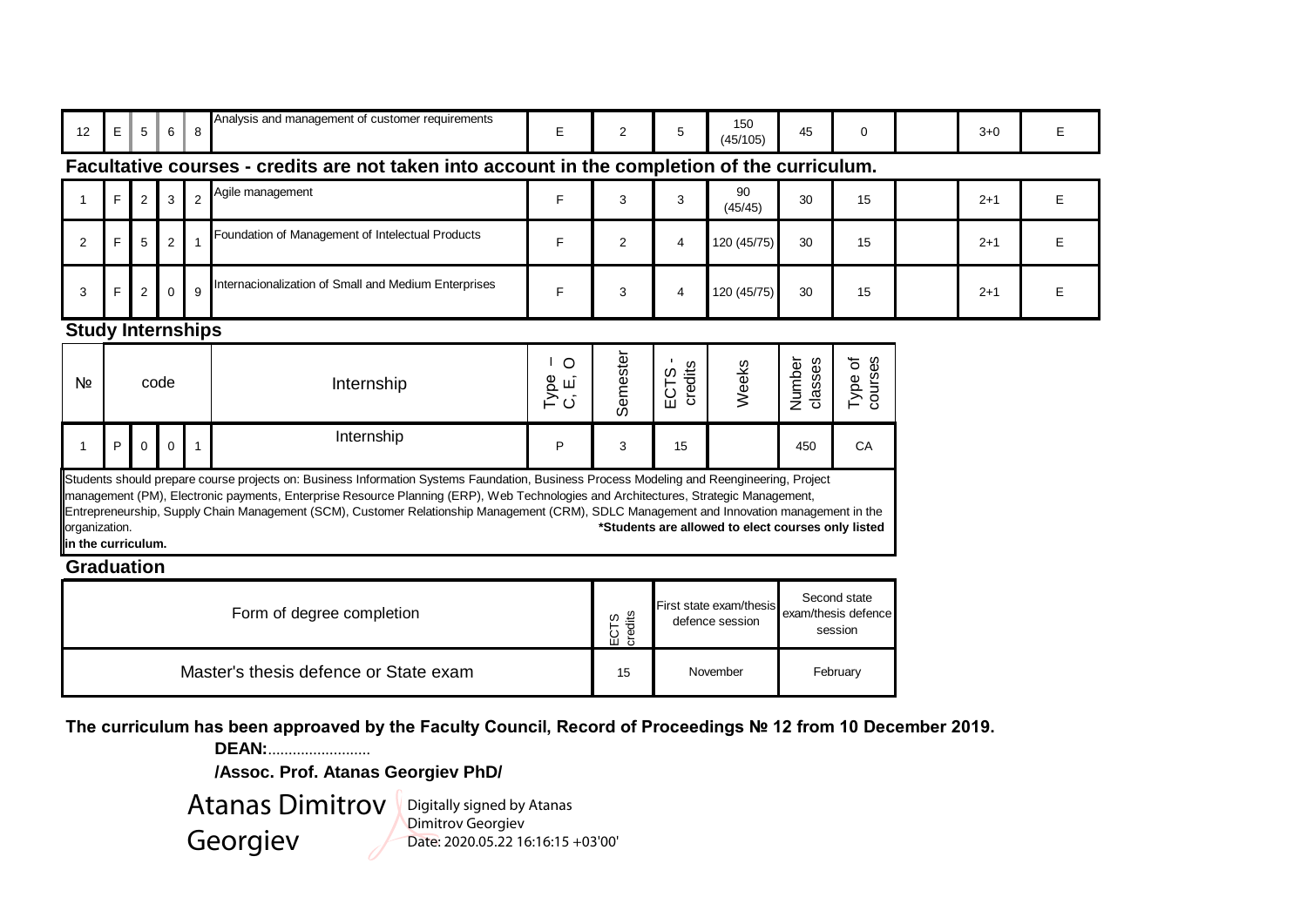| 12                                                       | $\mathsf E$ | 5              | 6        | 8              | Analysis and management of customer requirements                                                                                                                                                                                                                                                                                                                                                                              | E        | 2               | 5              | 150<br>(45/105)                                    | 45                 | 0            | $3+0$   | E |
|----------------------------------------------------------|-------------|----------------|----------|----------------|-------------------------------------------------------------------------------------------------------------------------------------------------------------------------------------------------------------------------------------------------------------------------------------------------------------------------------------------------------------------------------------------------------------------------------|----------|-----------------|----------------|----------------------------------------------------|--------------------|--------------|---------|---|
|                                                          |             |                |          |                | Facultative courses - credits are not taken into account in the completion of the curriculum.                                                                                                                                                                                                                                                                                                                                 |          |                 |                |                                                    |                    |              |         |   |
|                                                          | F           | 2              |          | $\mathfrak{p}$ | Agile management                                                                                                                                                                                                                                                                                                                                                                                                              | F.       | 3               | 3              | 90<br>(45/45)                                      | 30                 | 15           | $2 + 1$ | E |
| 2                                                        | F           | 5              | 2        |                | Foundation of Management of Intelectual Products                                                                                                                                                                                                                                                                                                                                                                              | F        | $\overline{2}$  | $\overline{4}$ | 120 (45/75)                                        | 30                 | 15           | $2 + 1$ | E |
| 3                                                        | F           | $\overline{2}$ | $\Omega$ | 9              | Internacionalization of Small and Medium Enterprises                                                                                                                                                                                                                                                                                                                                                                          | F        | 3               | $\overline{4}$ | 120 (45/75)                                        | 30                 | 15           | $2 + 1$ | E |
| <b>Study Internships</b>                                 |             |                |          |                |                                                                                                                                                                                                                                                                                                                                                                                                                               |          |                 |                |                                                    |                    |              |         |   |
| Nº.                                                      |             |                | code     |                | Internship                                                                                                                                                                                                                                                                                                                                                                                                                    | Semester | credits<br>ECTS | Weeks          | Number<br>classes                                  | Type of<br>courses |              |         |   |
|                                                          | P           | $\Omega$       | $\Omega$ |                | Internship                                                                                                                                                                                                                                                                                                                                                                                                                    | P        | 3               | 15             |                                                    | 450                | CA           |         |   |
| organization.<br>in the curriculum.<br><b>Graduation</b> |             |                |          |                | Students should prepare course projects on: Business Information Systems Faundation, Business Process Modeling and Reengineering, Project<br>management (PM), Electronic payments, Enterprise Resource Planning (ERP), Web Technologies and Architectures, Strategic Management,<br>Entrepreneurship, Supply Chain Management (SCM), Customer Relationship Management (CRM), SDLC Management and Innovation management in the |          |                 |                | *Students are allowed to elect courses only listed |                    | Second state |         |   |

| Form of degree completion             | "≣<br>ഗ<br>–<br>Φ<br>닍 | First state exam/thesis<br>defence session | Second state<br>exam/thesis defence<br>session |
|---------------------------------------|------------------------|--------------------------------------------|------------------------------------------------|
| Master's thesis defence or State exam | 15                     | November                                   | February                                       |

**The curriculum has been approaved by the Faculty Council, Record of Proceedings № 12 from 10 December 2019.**

**DEAN:**.........................

**/Assoc. Prof. Atanas Georgiev PhD/**

Atanas Dimitrov **Digitally signed by Atanas** Georgiev

Dimitrov Georgiev Date: 2020.05.22 16:16:15 +03'00'